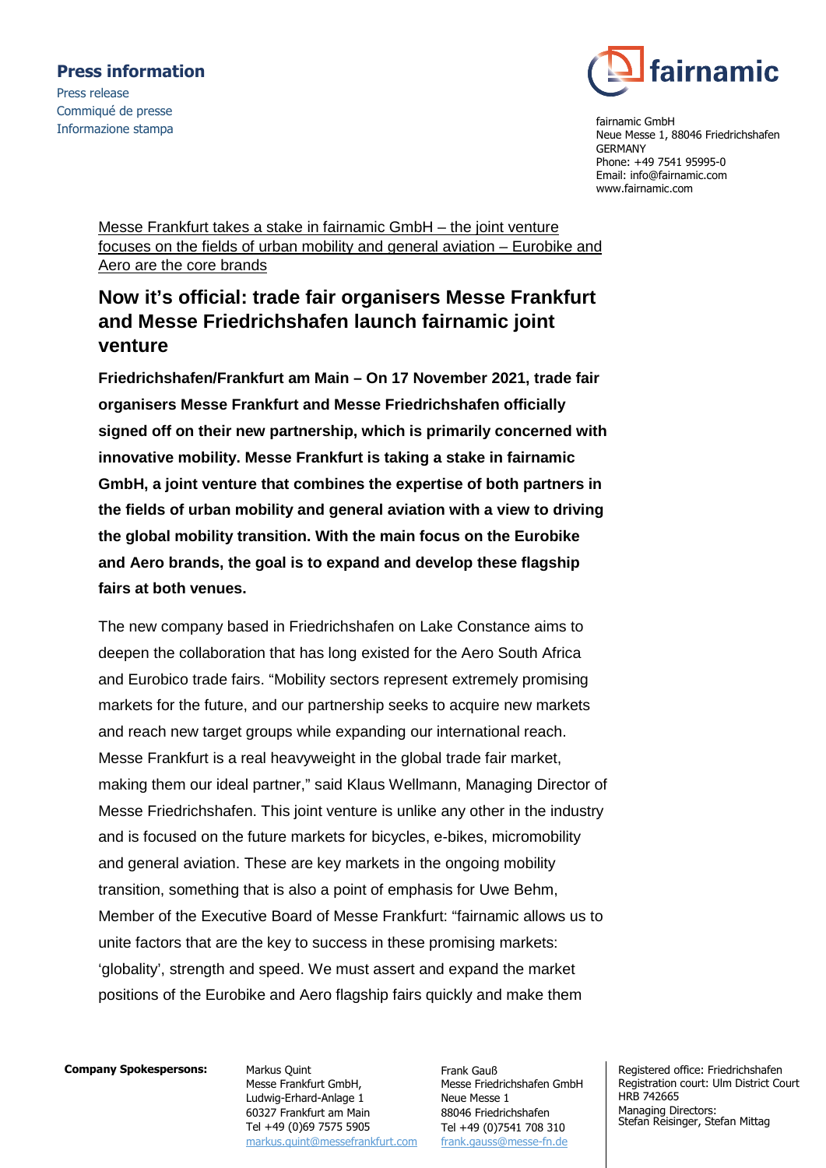## **Press information**

Press release Commiqué de presse Informazione stampa



fairnamic GmbH Neue Messe 1, 88046 Friedrichshafen GERMANY Phone: +49 7541 95995-0 Email: info@fairnamic.com www.fairnamic.com

Messe Frankfurt takes a stake in fairnamic GmbH – the joint venture focuses on the fields of urban mobility and general aviation – Eurobike and Aero are the core brands

# **Now it's official: trade fair organisers Messe Frankfurt and Messe Friedrichshafen launch fairnamic joint venture**

**Friedrichshafen/Frankfurt am Main – On 17 November 2021, trade fair organisers Messe Frankfurt and Messe Friedrichshafen officially signed off on their new partnership, which is primarily concerned with innovative mobility. Messe Frankfurt is taking a stake in fairnamic GmbH, a joint venture that combines the expertise of both partners in the fields of urban mobility and general aviation with a view to driving the global mobility transition. With the main focus on the Eurobike and Aero brands, the goal is to expand and develop these flagship fairs at both venues.** 

The new company based in Friedrichshafen on Lake Constance aims to deepen the collaboration that has long existed for the Aero South Africa and Eurobico trade fairs. "Mobility sectors represent extremely promising markets for the future, and our partnership seeks to acquire new markets and reach new target groups while expanding our international reach. Messe Frankfurt is a real heavyweight in the global trade fair market, making them our ideal partner," said Klaus Wellmann, Managing Director of Messe Friedrichshafen. This joint venture is unlike any other in the industry and is focused on the future markets for bicycles, e-bikes, micromobility and general aviation. These are key markets in the ongoing mobility transition, something that is also a point of emphasis for Uwe Behm, Member of the Executive Board of Messe Frankfurt: "fairnamic allows us to unite factors that are the key to success in these promising markets: 'globality', strength and speed. We must assert and expand the market positions of the Eurobike and Aero flagship fairs quickly and make them

#### **Company Spokespersons:**

Markus Quint Messe Frankfurt GmbH, Ludwig-Erhard-Anlage 1 60327 Frankfurt am Main Tel +49 (0)69 7575 5905 markus.quint@messefrankfurt.com

Frank Gauß Messe Friedrichshafen GmbH Neue Messe 1 88046 Friedrichshafen Tel +49 (0)7541 708 310 frank.gauss@messe-fn.de

Registered office: Friedrichshafen Registration court: Ulm District Court HRB 742665 Managing Directors: Stefan Reisinger, Stefan Mittag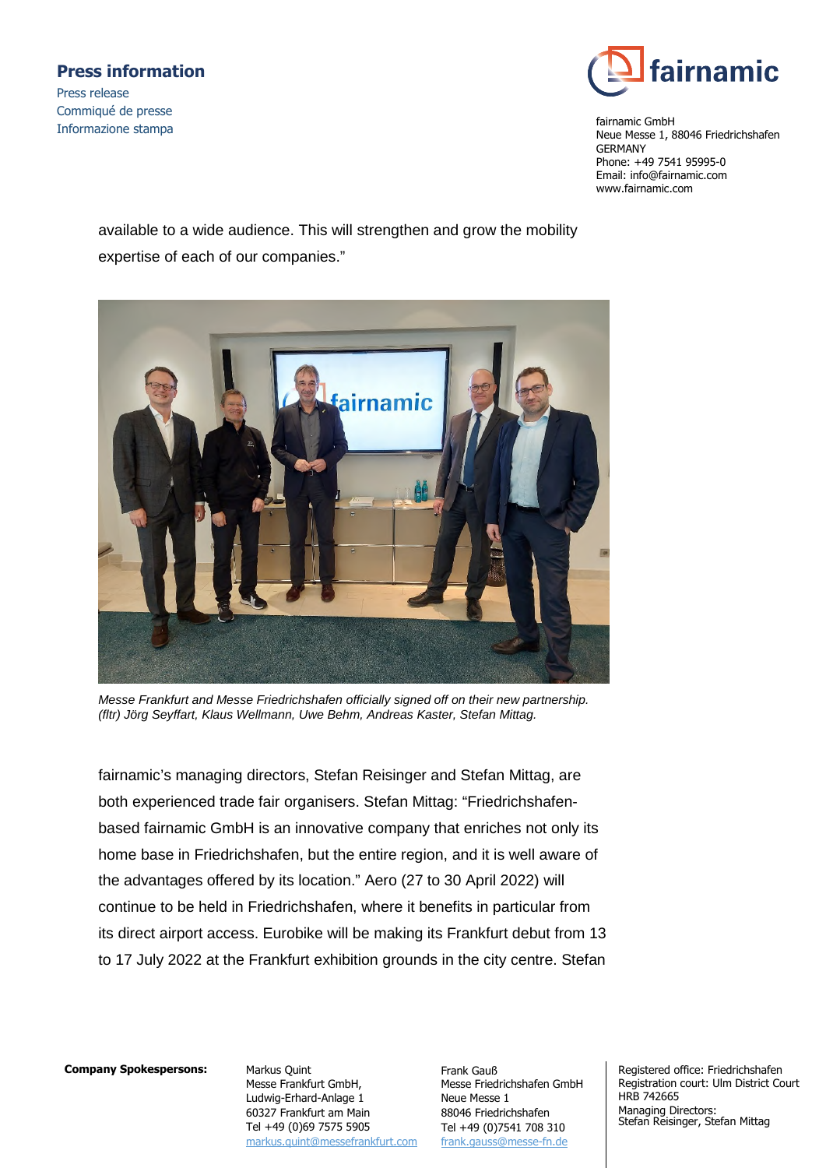### **Press information**

Press release Commiqué de presse Informazione stampa



fairnamic GmbH Neue Messe 1, 88046 Friedrichshafen GERMANY Phone: +49 7541 95995-0 Email: info@fairnamic.com www.fairnamic.com

available to a wide audience. This will strengthen and grow the mobility expertise of each of our companies."



*Messe Frankfurt and Messe Friedrichshafen officially signed off on their new partnership. (fltr) Jörg Seyffart, Klaus Wellmann, Uwe Behm, Andreas Kaster, Stefan Mittag.* 

fairnamic's managing directors, Stefan Reisinger and Stefan Mittag, are both experienced trade fair organisers. Stefan Mittag: "Friedrichshafenbased fairnamic GmbH is an innovative company that enriches not only its home base in Friedrichshafen, but the entire region, and it is well aware of the advantages offered by its location." Aero (27 to 30 April 2022) will continue to be held in Friedrichshafen, where it benefits in particular from its direct airport access. Eurobike will be making its Frankfurt debut from 13 to 17 July 2022 at the Frankfurt exhibition grounds in the city centre. Stefan

### **Company Spokespersons:**

Markus Quint Messe Frankfurt GmbH, Ludwig-Erhard-Anlage 1 60327 Frankfurt am Main Tel +49 (0)69 7575 5905 markus.quint@messefrankfurt.com Frank Gauß Messe Friedrichshafen GmbH Neue Messe 1 88046 Friedrichshafen Tel +49 (0)7541 708 310 frank.gauss@messe-fn.de

Registered office: Friedrichshafen Registration court: Ulm District Court HRB 742665 Managing Directors: Stefan Reisinger, Stefan Mittag